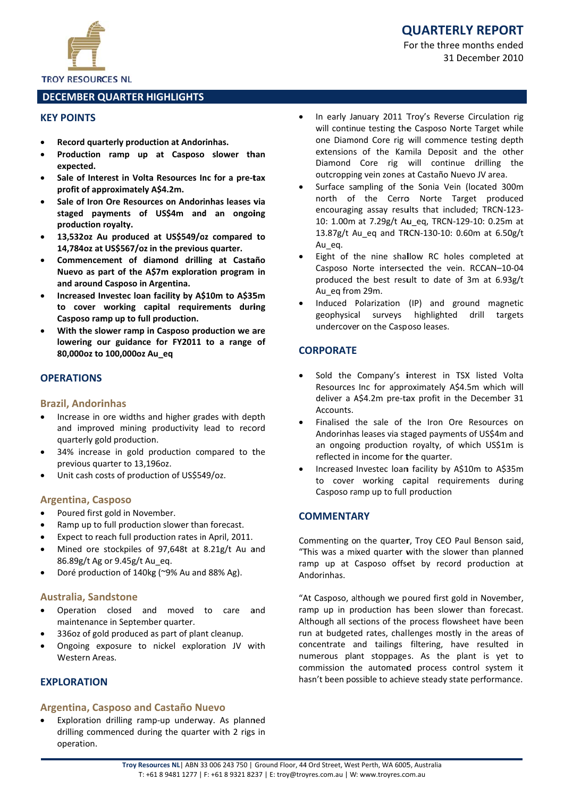

## **TROY RESOURCES NL**

## **DECEMBER QUARTER HIGHLIGHTS**

## **KEY POINTS**

- Record quarterly production at Andorinhas.
- Production ramp up at Casposo slower than expected.
- Sale of Interest in Volta Resources Inc for a pre-tax profit of approximately A\$4.2m.
- Sale of Iron Ore Resources on Andorinhas leases via staged payments of US\$4m and an ongoing production royalty.
- 13,532oz Au produced at US\$549/oz compared to 14,784oz at US\$567/oz in the previous quarter.
- Commencement of diamond drilling at Castaño Nuevo as part of the A\$7m exploration program in and around Casposo in Argentina.
- Increased Investec Ioan facility by A\$10m to A\$35m to cover working capital requirements during Casposo ramp up to full production.
- With the slower ramp in Casposo production we are lowering our guidance for FY2011 to a range of 80,000oz to 100,000oz Au\_eq

## **OPFRATIONS**

## **Brazil, Andorinhas**

- Increase in ore widths and higher grades with depth and improved mining productivity lead to record quarterly gold production.
- 34% increase in gold production compared to the previous quarter to 13.196oz.
- Unit cash costs of production of US\$549/oz.

#### **Argentina, Casposo**

- Poured first gold in November.
- Ramp up to full production slower than forecast.  $\bullet$
- Expect to reach full production rates in April, 2011.  $\bullet$
- Mined ore stockpiles of 97,648t at 8.21g/t Au and 86.89g/t Ag or 9.45g/t Au eq.
- Doré production of 140kg (~9% Au and 88% Ag).

## **Australia, Sandstone**

- Operation closed and moved to care and maintenance in September quarter.
- 336oz of gold produced as part of plant cleanup.
- Ongoing exposure to nickel exploration JV with Western Areas.

## **EXPLORATION**

## **Argentina, Casposo and Castaño Nuevo**

Exploration drilling ramp-up underway. As planned drilling commenced during the quarter with 2 rigs in operation.

- In early January 2011 Troy's Reverse Circulation rig will continue testing the Casposo Norte Target while one Diamond Core rig will commence testing depth extensions of the Kamila Deposit and the other Diamond Core rig will continue drilling the outcropping vein zones at Castaño Nuevo JV area.
- Surface sampling of the Sonia Vein (located 300m north of the Cerro Norte Target produced encouraging assay results that included; TRCN-123-10: 1.00m at 7.29g/t Au\_eq, TRCN-129-10: 0.25m at 13.87g/t Au\_eq and TRCN-130-10: 0.60m at 6.50g/t Au eg.
- Eight of the nine shallow RC holes completed at Casposo Norte intersected the vein. RCCAN-10-04 produced the best result to date of 3m at 6.93g/t Au eq from 29m.
- Induced Polarization (IP) and ground magnetic highlighted geophysical surveys drill targets undercover on the Casposo leases.

## **CORPORATE**

- Sold the Company's interest in TSX listed Volta Resources Inc for approximately A\$4.5m which will deliver a A\$4.2m pre-tax profit in the December 31 Accounts.
- Finalised the sale of the Iron Ore Resources on Andorinhas leases via staged payments of US\$4m and an ongoing production royalty, of which US\$1m is reflected in income for the quarter.
- Increased Investec loan facility by A\$10m to A\$35m to cover working capital requirements during Casposo ramp up to full production

## **COMMENTARY**

Commenting on the quarter, Troy CEO Paul Benson said, "This was a mixed quarter with the slower than planned ramp up at Casposo offset by record production at Andorinhas.

"At Casposo, although we poured first gold in November. ramp up in production has been slower than forecast. Although all sections of the process flowsheet have been run at budgeted rates, challenges mostly in the areas of concentrate and tailings filtering, have resulted in numerous plant stoppages. As the plant is yet to commission the automated process control system it hasn't been possible to achieve steady state performance.

# **QUARTERLY REPORT**

For the three months ended 31 December 2010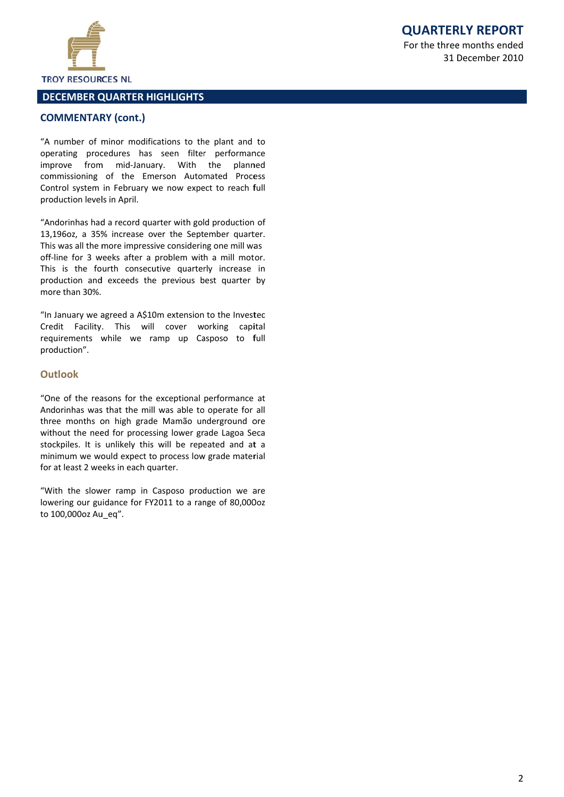

# **DECEMBER QUARTER HIGHLIGHTS**

## **COMMENTARY (cont.)**

"A number of minor modifications to the plant and to operating procedures has seen filter performance improve from mid-January. With the planned commissioning of the Emerson Automated Process Control system in February we now expect to reach full production levels in April.

"Andorinhas had a record quarter with gold production of 13,196oz, a 35% increase over the September quarter. This was all the more impressive considering one mill was off-line for 3 weeks after a problem with a mill motor. This is the fourth consecutive quarterly increase in production and exceeds the previous best quarter by more than 30%.

"In January we agreed a A\$10m extension to the Investec Credit Facility. This will cover working capital requirements while we ramp up Casposo to full production".

## Outlook

"One of the reasons for the exceptional performance at Andorinhas was that the mill was able to operate for all three months on high grade Mamão underground ore without the need for processing lower grade Lagoa Seca stockpiles. It is unlikely this will be repeated and at a minimum we would expect to process low grade material for at least 2 weeks in each quarter.

"With the slower ramp in Casposo production we are lowering our guidance for FY2011 to a range of 80,000oz to 100,000oz Au eq".

**QUARTERLY REPORT** 

For the three months ended 31 December 2010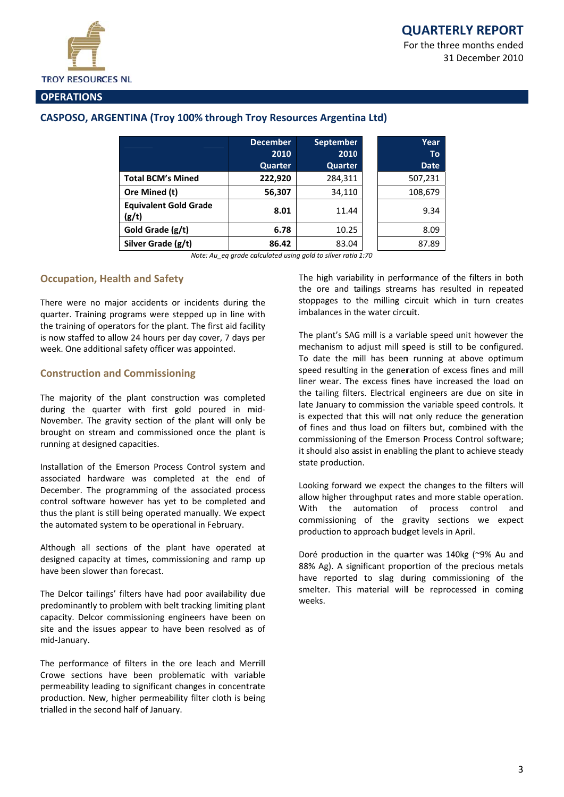For the three months ended 31 December 2010



## **OPERATIONS**

## CASPOSO, ARGENTINA (Troy 100% through Troy Resources Argentina Ltd)

|                                       | <b>December</b><br>2010<br>Quarter | <b>September</b><br>2010<br>Quarter | Year<br><b>To</b><br><b>Date</b> |
|---------------------------------------|------------------------------------|-------------------------------------|----------------------------------|
| <b>Total BCM's Mined</b>              | 222,920                            | 284,311                             | 507,231                          |
| Ore Mined (t)                         | 56,307                             | 34,110                              | 108,679                          |
| <b>Equivalent Gold Grade</b><br>(g/t) | 8.01                               | 11.44                               | 9.34                             |
| Gold Grade (g/t)                      | 6.78                               | 10.25                               | 8.09                             |
| Silver Grade (g/t)                    | 86.42                              | 83.04                               | 87.89                            |

Note: Au ea arade calculated using gold to silver ratio 1:70

## **Occupation, Health and Safety**

There were no major accidents or incidents during the quarter. Training programs were stepped up in line with the training of operators for the plant. The first aid facility is now staffed to allow 24 hours per day cover, 7 days per week. One additional safety officer was appointed.

## **Construction and Commissioning**

The majority of the plant construction was completed during the quarter with first gold poured in mid-November. The gravity section of the plant will only be brought on stream and commissioned once the plant is running at designed capacities.

Installation of the Emerson Process Control system and associated hardware was completed at the end of December. The programming of the associated process control software however has yet to be completed and thus the plant is still being operated manually. We expect the automated system to be operational in February.

Although all sections of the plant have operated at designed capacity at times, commissioning and ramp up have been slower than forecast.

The Delcor tailings' filters have had poor availability due predominantly to problem with belt tracking limiting plant capacity. Delcor commissioning engineers have been on site and the issues appear to have been resolved as of mid-January.

The performance of filters in the ore leach and Merrill Crowe sections have been problematic with variable permeability leading to significant changes in concentrate production. New, higher permeability filter cloth is being trialled in the second half of January.

The high variability in performance of the filters in both the ore and tailings streams has resulted in repeated stoppages to the milling circuit which in turn creates imbalances in the water circuit.

The plant's SAG mill is a variable speed unit however the mechanism to adjust mill speed is still to be configured. To date the mill has been running at above optimum speed resulting in the generation of excess fines and mill liner wear. The excess fines have increased the load on the tailing filters. Electrical engineers are due on site in late January to commission the variable speed controls. It is expected that this will not only reduce the generation of fines and thus load on filters but, combined with the commissioning of the Emerson Process Control software; it should also assist in enabling the plant to achieve steady state production.

Looking forward we expect the changes to the filters will allow higher throughput rates and more stable operation. With the automation of process control and commissioning of the gravity sections we expect production to approach budget levels in April.

Doré production in the quarter was 140kg (~9% Au and 88% Ag). A significant proportion of the precious metals have reported to slag during commissioning of the smelter. This material will be reprocessed in coming weeks.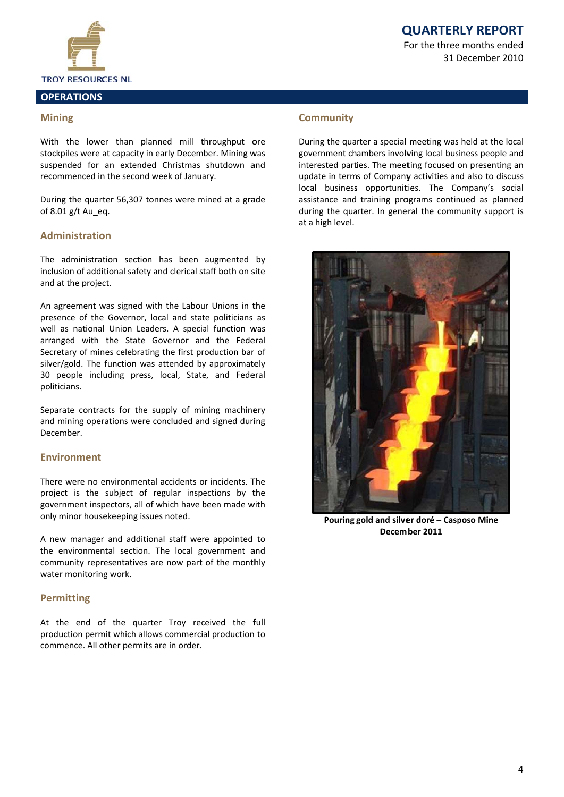# **QUARTERLY REPORT**

For the three months ended 31 December 2010



#### **OPERATIONS**

## **Mining**

With the lower than planned mill throughput ore stockpiles were at capacity in early December. Mining was suspended for an extended Christmas shutdown and recommenced in the second week of January.

During the quarter 56,307 tonnes were mined at a grade of 8.01 g/t Au eq.

## **Administration**

The administration section has been augmented by inclusion of additional safety and clerical staff both on site and at the project.

An agreement was signed with the Labour Unions in the presence of the Governor, local and state politicians as well as national Union Leaders. A special function was arranged with the State Governor and the Federal Secretary of mines celebrating the first production bar of silver/gold. The function was attended by approximately 30 people including press, local, State, and Federal politicians.

Separate contracts for the supply of mining machinery and mining operations were concluded and signed during December.

## **Environment**

There were no environmental accidents or incidents. The project is the subject of regular inspections by the government inspectors, all of which have been made with only minor housekeeping issues noted.

A new manager and additional staff were appointed to the environmental section. The local government and community representatives are now part of the monthly water monitoring work.

## **Permitting**

At the end of the quarter Troy received the full production permit which allows commercial production to commence. All other permits are in order.

## **Community**

During the quarter a special meeting was held at the local government chambers involving local business people and interested parties. The meeting focused on presenting an update in terms of Company activities and also to discuss local business opportunities. The Company's social assistance and training programs continued as planned during the quarter. In general the community support is at a high level.



Pouring gold and silver doré - Casposo Mine December 2011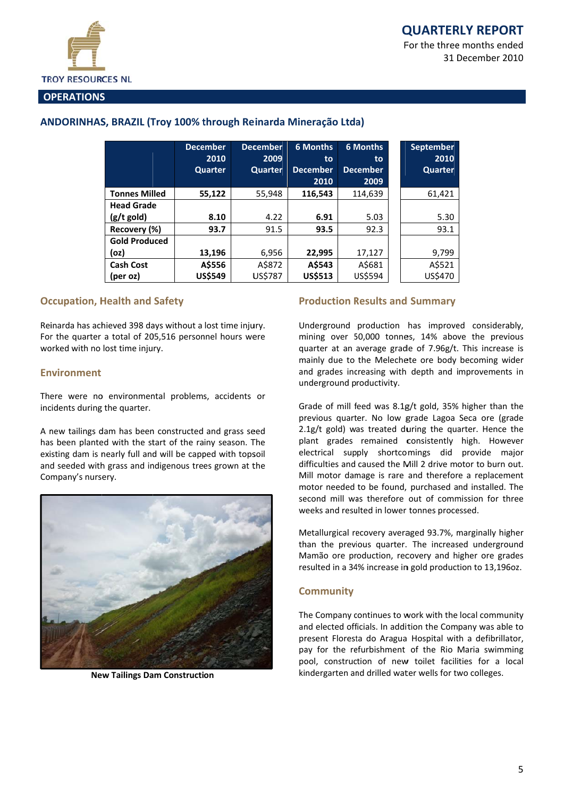31 December 2010



#### **OPERATIONS**

## ANDORINHAS, BRAZIL (Troy 100% through Reinarda Mineração Ltda)

|                      | <b>December</b><br>2010 | <b>December</b><br>2009 | <b>6 Months</b><br>to | <b>6 Months</b><br>to | September<br>2010 |
|----------------------|-------------------------|-------------------------|-----------------------|-----------------------|-------------------|
|                      | Quarter                 | Quarter                 | <b>December</b>       | <b>December</b>       | Quarter           |
|                      |                         |                         | 2010                  | 2009                  |                   |
| <b>Tonnes Milled</b> | 55,122                  | 55,948                  | 116,543               | 114,639               | 61,421            |
| <b>Head Grade</b>    |                         |                         |                       |                       |                   |
| $(g/t \text{ gold})$ | 8.10                    | 4.22                    | 6.91                  | 5.03                  | 5.30              |
| Recovery (%)         | 93.7                    | 91.5                    | 93.5                  | 92.3                  | 93.1              |
| <b>Gold Produced</b> |                         |                         |                       |                       |                   |
| (oz)                 | 13,196                  | 6,956                   | 22,995                | 17,127                | 9,799             |
| <b>Cash Cost</b>     | A\$556                  | A\$872                  | A\$543                | A\$681                | A\$521            |
| (per oz)             | US\$549                 | <b>US\$787</b>          | <b>US\$513</b>        | US\$594               | US\$470           |

## **Occupation, Health and Safety**

Reinarda has achieved 398 days without a lost time injury. For the quarter a total of 205,516 personnel hours were worked with no lost time injury.

## **Fnvironment**

There were no environmental problems, accidents or incidents during the quarter.

A new tailings dam has been constructed and grass seed has been planted with the start of the rainy season. The existing dam is nearly full and will be capped with topsoil and seeded with grass and indigenous trees grown at the Company's nursery.



**New Tailings Dam Construction** 

#### **Production Results and Summary**

Underground production has improved considerably, mining over 50,000 tonnes, 14% above the previous quarter at an average grade of 7.96g/t. This increase is mainly due to the Melechete ore body becoming wider and grades increasing with depth and improvements in underground productivity.

Grade of mill feed was 8.1g/t gold, 35% higher than the previous quarter. No low grade Lagoa Seca ore (grade 2.1g/t gold) was treated during the quarter. Hence the plant grades remained consistently high. However electrical supply shortcomings did provide major difficulties and caused the Mill 2 drive motor to burn out. Mill motor damage is rare and therefore a replacement motor needed to be found, purchased and installed. The second mill was therefore out of commission for three weeks and resulted in lower tonnes processed.

Metallurgical recovery averaged 93.7%, marginally higher than the previous quarter. The increased underground Mamão ore production, recovery and higher ore grades resulted in a 34% increase in gold production to 13,196oz.

## **Community**

The Company continues to work with the local community and elected officials. In addition the Company was able to present Floresta do Aragua Hospital with a defibrillator, pay for the refurbishment of the Rio Maria swimming pool, construction of new toilet facilities for a local kindergarten and drilled water wells for two colleges.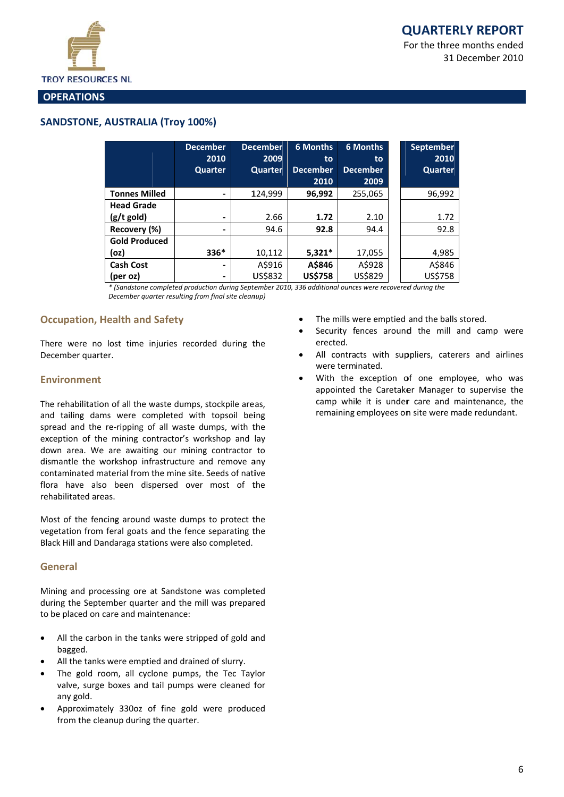For the three months ended 31 December 2010



#### **OPERATIONS**

## **SANDSTONE, AUSTRALIA (Trov 100%)**

|                      | <b>December</b><br>2010 | <b>December</b><br>2009 | <b>6 Months</b> | <b>6 Months</b> | <b>September</b><br>2010 |
|----------------------|-------------------------|-------------------------|-----------------|-----------------|--------------------------|
|                      |                         |                         | to              | to              |                          |
|                      | Quarter                 | Quarter                 | <b>December</b> | <b>December</b> | Quarter                  |
|                      |                         |                         | 2010            | 2009            |                          |
| <b>Tonnes Milled</b> | ۰                       | 124,999                 | 96,992          | 255,065         | 96,992                   |
| <b>Head Grade</b>    |                         |                         |                 |                 |                          |
| $(g/t$ gold)         | -                       | 2.66                    | 1.72            | 2.10            | 1.72                     |
| Recovery (%)         | -                       | 94.6                    | 92.8            | 94.4            | 92.8                     |
| <b>Gold Produced</b> |                         |                         |                 |                 |                          |
| (oz)                 | $336*$                  | 10,112                  | $5,321*$        | 17,055          | 4,985                    |
| <b>Cash Cost</b>     | -                       | A\$916                  | A\$846          | A\$928          | A\$846                   |
| (per oz)             | -                       | US\$832                 | <b>US\$758</b>  | US\$829         | US\$758                  |

\* (Sandstone completed production during September 2010, 336 additional ounces were recovered during the December quarter resulting from final site cleanup)

## **Occupation, Health and Safety**

There were no lost time injuries recorded during the December quarter.

#### **Environment**

The rehabilitation of all the waste dumps, stockpile areas, and tailing dams were completed with topsoil being spread and the re-ripping of all waste dumps, with the exception of the mining contractor's workshop and lay down area. We are awaiting our mining contractor to dismantle the workshop infrastructure and remove any contaminated material from the mine site. Seeds of native flora have also been dispersed over most of the rehabilitated areas.

Most of the fencing around waste dumps to protect the vegetation from feral goats and the fence separating the Black Hill and Dandaraga stations were also completed.

#### General

Mining and processing ore at Sandstone was completed during the September quarter and the mill was prepared to be placed on care and maintenance:

- All the carbon in the tanks were stripped of gold and  $\bullet$ bagged.
- All the tanks were emptied and drained of slurry.
- The gold room, all cyclone pumps, the Tec Taylor  $\bullet$ valve, surge boxes and tail pumps were cleaned for any gold.
- Approximately 330oz of fine gold were produced from the cleanup during the quarter.
- The mills were emptied and the balls stored.
- Security fences around the mill and camp were erected.
- All contracts with suppliers, caterers and airlines were terminated
- With the exception of one employee, who was appointed the Caretaker Manager to supervise the camp while it is under care and maintenance, the remaining employees on site were made redundant.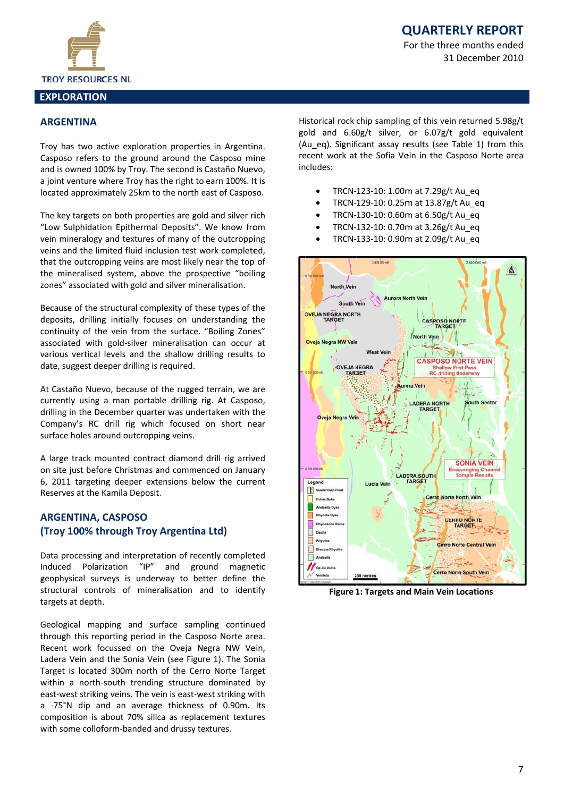

# **QUARTERLY REPORT**

For the three months ended 31 December 2010

# **ARGENTINA**

Troy has two active exploration properties in Argentina. Casposo refers to the ground around the Casposo mine and is owned 100% by Troy. The second is Castaño Nuevo, a joint venture where Troy has the right to earn 100%. It is located approximately 25km to the north east of Casposo.

The key targets on both properties are gold and silver rich "Low Sulphidation Epithermal Deposits". We know from vein mineralogy and textures of many of the outcropping veins and the limited fluid inclusion test work completed, that the outcropping veins are most likely near the top of the mineralised system, above the prospective "boiling zones" associated with gold and silver mineralisation.

Because of the structural complexity of these types of the deposits, drilling initially focuses on understanding the continuity of the vein from the surface. "Boiling Zones" associated with gold-silver mineralisation can occur at various vertical levels and the shallow drilling results to date, suggest deeper drilling is required.

At Castaño Nuevo, because of the rugged terrain, we are currently using a man portable drilling rig. At Casposo, drilling in the December quarter was undertaken with the Company's RC drill rig which focused on short near surface holes around outcropping veins.

A large track mounted contract diamond drill rig arrived on site just before Christmas and commenced on January 6, 2011 targeting deeper extensions below the current Reserves at the Kamila Deposit.

## **ARGENTINA, CASPOSO** (Troy 100% through Troy Argentina Ltd)

Data processing and interpretation of recently completed "IP" and ground magnetic Induced Polarization geophysical surveys is underway to better define the structural controls of mineralisation and to identify targets at depth.

Geological mapping and surface sampling continued through this reporting period in the Casposo Norte area. Recent work focussed on the Oveia Negra NW Vein. Ladera Vein and the Sonia Vein (see Figure 1). The Sonia Target is located 300m north of the Cerro Norte Target within a north-south trending structure dominated by east-west striking veins. The vein is east-west striking with a -75°N dip and an average thickness of 0.90m. Its composition is about 70% silica as replacement textures with some colloform-banded and drussy textures.

Historical rock chip sampling of this vein returned 5.98g/t gold and 6.60g/t silver, or 6.07g/t gold equivalent (Au eq). Significant assay results (see Table 1) from this recent work at the Sofia Vein in the Casposo Norte area includes:

- TRCN-123-10: 1.00m at 7.29g/t Au eq
- TRCN-129-10: 0.25m at 13.87g/t Au eq
- TRCN-130-10: 0.60m at 6.50g/t Au eq
- TRCN-132-10: 0.70m at 3.26g/t Au eq
- TRCN-133-10: 0.90m at 2.09g/t Au eq



**Figure 1: Targets and Main Vein Locations**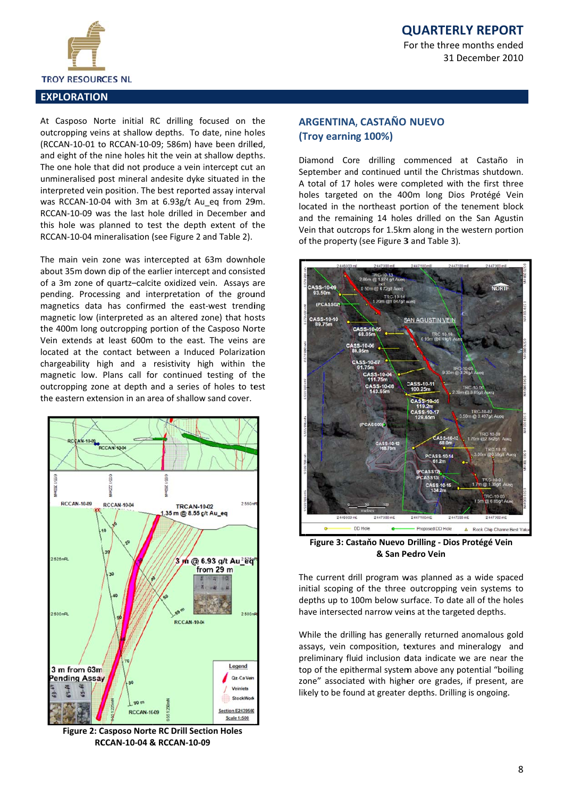



#### **EXPLORATION**

At Casposo Norte initial RC drilling focused on the outcropping veins at shallow depths. To date, nine holes (RCCAN-10-01 to RCCAN-10-09: 586m) have been drilled. and eight of the nine holes hit the vein at shallow depths. The one hole that did not produce a vein intercept cut an unmineralised post mineral andesite dyke situated in the interpreted vein position. The best reported assay interval was RCCAN-10-04 with 3m at 6.93g/t Au eq from 29m. RCCAN-10-09 was the last hole drilled in December and this hole was planned to test the depth extent of the RCCAN-10-04 mineralisation (see Figure 2 and Table 2).

The main vein zone was intercepted at 63m downhole about 35m down dip of the earlier intercept and consisted of a 3m zone of quartz-calcite oxidized vein. Assays are pending. Processing and interpretation of the ground magnetics data has confirmed the east-west trending magnetic low (interpreted as an altered zone) that hosts the 400m long outcropping portion of the Casposo Norte Vein extends at least 600m to the east. The veins are located at the contact between a Induced Polarization chargeability high and a resistivity high within the magnetic low. Plans call for continued testing of the outcropping zone at depth and a series of holes to test the eastern extension in an area of shallow sand cover.



Figure 2: Casposo Norte RC Drill Section Holes **RCCAN-10-04 & RCCAN-10-09** 

## **ARGENTINA, CASTAÑO NUEVO** (Troy earning 100%)

Diamond Core drilling commenced at Castaño in September and continued until the Christmas shutdown. A total of 17 holes were completed with the first three holes targeted on the 400m long Dios Protégé Vein located in the northeast portion of the tenement block and the remaining 14 holes drilled on the San Agustin Vein that outcrops for 1.5km along in the western portion of the property (see Figure 3 and Table 3).



Figure 3: Castaňo Nuevo Drilling - Dios Protégé Vein & San Pedro Vein

The current drill program was planned as a wide spaced initial scoping of the three outcropping vein systems to depths up to 100m below surface. To date all of the holes have intersected narrow veins at the targeted depths.

While the drilling has generally returned anomalous gold assays, vein composition, textures and mineralogy and preliminary fluid inclusion data indicate we are near the top of the epithermal system above any potential "boiling zone" associated with higher ore grades, if present, are likely to be found at greater depths. Drilling is ongoing.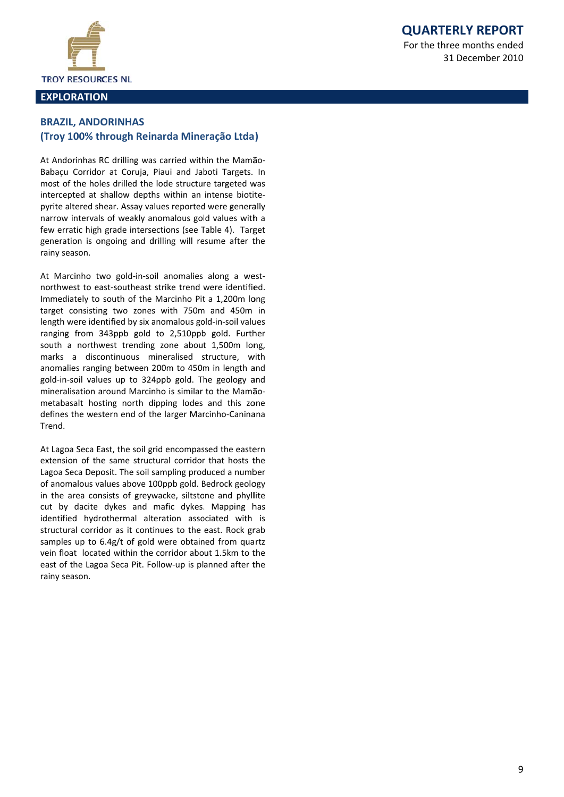**QUARTERLY REPORT** 

For the three months ended 31 December 2010



## **EXPLORATION**

## **BRAZIL, ANDORINHAS** (Troy 100% through Reinarda Mineração Ltda)

At Andorinhas RC drilling was carried within the Mamão-Babaçu Corridor at Coruja, Piaui and Jaboti Targets. In most of the holes drilled the lode structure targeted was intercepted at shallow depths within an intense biotitepyrite altered shear. Assay values reported were generally narrow intervals of weakly anomalous gold values with a few erratic high grade intersections (see Table 4). Target generation is ongoing and drilling will resume after the rainy season.

At Marcinho two gold-in-soil anomalies along a westnorthwest to east-southeast strike trend were identified. Immediately to south of the Marcinho Pit a 1,200m long target consisting two zones with 750m and 450m in length were identified by six anomalous gold-in-soil values ranging from 343ppb gold to 2,510ppb gold. Further south a northwest trending zone about 1,500m long, marks a discontinuous mineralised structure, with anomalies ranging between 200m to 450m in length and gold-in-soil values up to 324ppb gold. The geology and mineralisation around Marcinho is similar to the Mamãometabasalt hosting north dipping lodes and this zone defines the western end of the larger Marcinho-Caninana Trend.

At Lagoa Seca East, the soil grid encompassed the eastern extension of the same structural corridor that hosts the Lagoa Seca Deposit. The soil sampling produced a number of anomalous values above 100ppb gold. Bedrock geology in the area consists of greywacke, siltstone and phyllite cut by dacite dykes and mafic dykes. Mapping has identified hydrothermal alteration associated with is structural corridor as it continues to the east. Rock grab samples up to 6.4g/t of gold were obtained from quartz vein float located within the corridor about 1.5km to the east of the Lagoa Seca Pit. Follow-up is planned after the rainv season.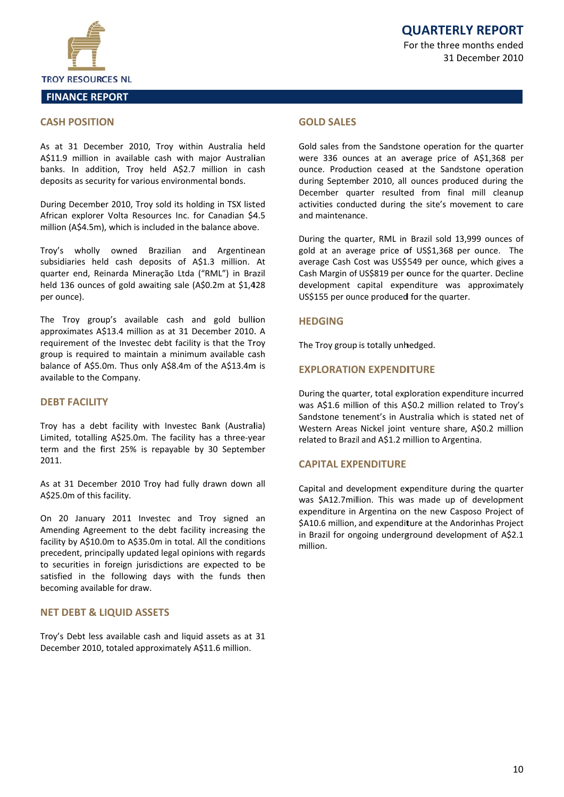

#### **CASH POSITION**

As at 31 December 2010, Troy within Australia held A\$11.9 million in available cash with major Australian banks. In addition, Troy held A\$2.7 million in cash deposits as security for various environmental bonds.

During December 2010, Troy sold its holding in TSX listed African explorer Volta Resources Inc. for Canadian \$4.5 million (A\$4.5m), which is included in the balance above.

Troy's wholly owned Brazilian and Argentinean subsidiaries held cash deposits of A\$1.3 million. At quarter end, Reinarda Mineração Ltda ("RML") in Brazil held 136 ounces of gold awaiting sale (A\$0.2m at \$1,428 per ounce).

The Troy group's available cash and gold bullion approximates A\$13.4 million as at 31 December 2010. A requirement of the Investec debt facility is that the Troy group is required to maintain a minimum available cash balance of A\$5.0m. Thus only A\$8.4m of the A\$13.4m is available to the Company.

## **DFBT FACILITY**

Troy has a debt facility with Investec Bank (Australia) Limited, totalling A\$25.0m. The facility has a three-year term and the first 25% is repayable by 30 September 2011.

As at 31 December 2010 Troy had fully drawn down all A\$25.0m of this facility.

On 20 January 2011 Investec and Troy signed an Amending Agreement to the debt facility increasing the facility by A\$10.0m to A\$35.0m in total. All the conditions precedent, principally updated legal opinions with regards to securities in foreign jurisdictions are expected to be satisfied in the following days with the funds then becoming available for draw.

#### **NET DEBT & LIQUID ASSETS**

Troy's Debt less available cash and liquid assets as at 31 December 2010, totaled approximately A\$11.6 million.

#### **GOI D SALES**

Gold sales from the Sandstone operation for the quarter were 336 ounces at an average price of A\$1,368 per ounce. Production ceased at the Sandstone operation during September 2010, all ounces produced during the December quarter resulted from final mill cleanup activities conducted during the site's movement to care and maintenance

During the quarter, RML in Brazil sold 13,999 ounces of gold at an average price of US\$1,368 per ounce. The average Cash Cost was US\$549 per ounce, which gives a Cash Margin of US\$819 per ounce for the quarter. Decline development capital expenditure was approximately US\$155 per ounce produced for the quarter.

#### **HEDGING**

The Troy group is totally unhedged.

#### **FXPLORATION EXPENDITURE**

During the quarter, total exploration expenditure incurred was A\$1.6 million of this A\$0.2 million related to Troy's Sandstone tenement's in Australia which is stated net of Western Areas Nickel joint venture share, A\$0.2 million related to Brazil and A\$1.2 million to Argentina.

#### **CAPITAL EXPENDITURE**

Capital and development expenditure during the quarter was \$A12.7million. This was made up of development expenditure in Argentina on the new Casposo Project of \$A10.6 million, and expenditure at the Andorinhas Project in Brazil for ongoing underground development of A\$2.1 million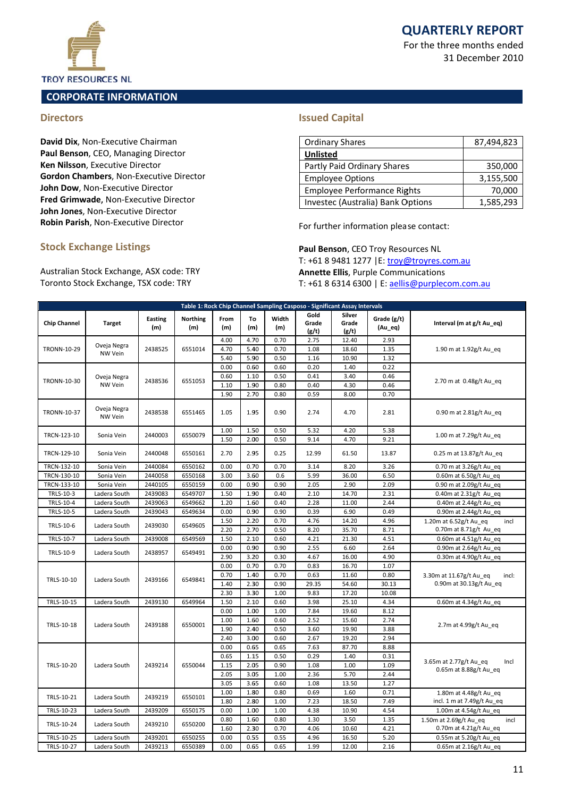For the three months ended 31 D December 20 010



## **TROY RESOURCES NL**

## **C CORPORATE E INFORMA ATION**

## **Di rectors**

David Dix, Non-Executive Chairman Paul Benson, CEO, Managing Director **Ken Nilsson**, Executive Director Gordon Chambers, Non-Executive Director **Joh hn Dow**, Non‐ Executive Dir ector **Fred Grimwade**, Non-Executive Director **Joh hn Jones**, Non n‐Executive Di rector **Robin Parish**, Non-Executive Director

## **Sto ock Exchan ge Listings**

Australian Stock Exchange, ASX code: TRY Toronto Stock Exchange, TSX code: TRY

## **Issued Capital**

| <b>Ordinary Shares</b>             | 87,494,823 |
|------------------------------------|------------|
| <b>Unlisted</b>                    |            |
| Partly Paid Ordinary Shares        | 350,000    |
| <b>Employee Options</b>            | 3,155,500  |
| <b>Employee Performance Rights</b> | 70,000     |
| Investec (Australia) Bank Options  | 1,585,293  |

For further information please contact:

Paul Benson, CEO Troy Resources NL T: +61 8 9481 1277 | E: troy@troyres.com.au Annette Ellis, Purple Communications T: +61 8 6314 6300 | E: <u>aellis@purplecom.com.au</u>

| Table 1: Rock Chip Channel Sampling Casposo - Significant Assay Intervals |                        |                       |                        |              |              |              |                        |                          |                        |                                                             |  |
|---------------------------------------------------------------------------|------------------------|-----------------------|------------------------|--------------|--------------|--------------|------------------------|--------------------------|------------------------|-------------------------------------------------------------|--|
| <b>Chip Channel</b>                                                       | <b>Target</b>          | <b>Easting</b><br>(m) | <b>Northing</b><br>(m) | From<br>(m)  | To<br>(m)    | Width<br>(m) | Gold<br>Grade<br>(g/t) | Silver<br>Grade<br>(g/t) | Grade (g/t)<br>(Au_eq) | Interval (m at g/t Au_eq)                                   |  |
|                                                                           | Oveja Negra            |                       |                        | 4.00         | 4.70         | 0.70         | 2.75                   | 12.40                    | 2.93                   |                                                             |  |
| TRONN-10-29                                                               | NW Vein                | 2438525               | 6551014                | 4.70         | 5.40         | 0.70         | 1.08                   | 18.60                    | 1.35                   | 1.90 m at $1.92$ g/t Au eq                                  |  |
|                                                                           |                        |                       |                        | 5.40         | 5.90         | 0.50         | 1.16                   | 10.90                    | 1.32                   |                                                             |  |
|                                                                           |                        |                       |                        | 0.00         | 0.60         | 0.60         | 0.20                   | 1.40                     | 0.22                   |                                                             |  |
| TRONN-10-30                                                               | Oveja Negra            | 2438536               | 6551053                | 0.60         | 1.10         | 0.50         | 0.41                   | 3.40                     | 0.46                   | 2.70 m at 0.48g/t Au eq                                     |  |
|                                                                           | NW Vein                |                       |                        | 1.10         | 1.90         | 0.80         | 0.40                   | 4.30                     | 0.46                   |                                                             |  |
|                                                                           |                        |                       |                        | 1.90         | 2.70         | 0.80         | 0.59                   | 8.00                     | 0.70                   |                                                             |  |
| TRONN-10-37                                                               | Oveja Negra<br>NW Vein | 2438538               | 6551465                | 1.05         | 1.95         | 0.90         | 2.74                   | 4.70                     | 2.81                   | 0.90 m at 2.81g/t Au_eq                                     |  |
| TRCN-123-10                                                               | Sonia Vein             | 2440003               | 6550079                | 1.00         | 1.50         | 0.50         | 5.32                   | 4.20                     | 5.38                   | 1.00 m at 7.29g/t Au eq                                     |  |
|                                                                           |                        |                       |                        | 1.50         | 2.00         | 0.50         | 9.14                   | 4.70                     | 9.21                   |                                                             |  |
| TRCN-129-10                                                               | Sonia Vein             | 2440048               | 6550161                | 2.70         | 2.95         | 0.25         | 12.99                  | 61.50                    | 13.87                  | 0.25 m at 13.87g/t Au eq                                    |  |
| TRCN-132-10                                                               | Sonia Vein             | 2440084               | 6550162                | 0.00         | 0.70         | 0.70         | 3.14                   | 8.20                     | 3.26                   | 0.70 m at 3.26g/t Au eq                                     |  |
| TRCN-130-10                                                               | Sonia Vein             | 2440058               | 6550168                | 3.00         | 3.60         | 0.6          | 5.99                   | 36.00                    | 6.50                   | 0.60m at 6.50g/t Au_eq                                      |  |
| TRCN-133-10                                                               | Sonia Vein             | 2440105               | 6550159                | 0.00         | 0.90         | 0.90         | 2.05                   | 2.90                     | 2.09                   | 0.90 m at 2.09g/t Au eq                                     |  |
| TRLS-10-3                                                                 | Ladera South           | 2439083               | 6549707                | 1.50         | 1.90         | 0.40         | 2.10                   | 14.70                    | 2.31                   | 0.40m at 2.31g/t Au eq                                      |  |
| TRLS-10-4                                                                 | Ladera South           | 2439063               | 6549662                | 1.20         | 1.60         | 0.40         | 2.28                   | 11.00                    | 2.44                   | 0.40m at 2.44g/t Au_eq                                      |  |
| TRLS-10-5                                                                 | Ladera South           | 2439043               | 6549634                | 0.00         | 0.90         | 0.90         | 0.39                   | 6.90                     | 0.49                   | 0.90m at 2.44g/t Au eq                                      |  |
| TRLS-10-6                                                                 | Ladera South           | 2439030               | 6549605                | 1.50         | 2.20         | 0.70         | 4.76                   | 14.20                    | 4.96                   | 1.20m at 6.52g/t Au eq<br>incl                              |  |
|                                                                           |                        |                       |                        | 2.20         | 2.70         | 0.50         | 8.20                   | 35.70                    | 8.71                   | 0.70m at 8.71g/t Au eq                                      |  |
| TRLS-10-7                                                                 | Ladera South           | 2439008               | 6549569                | 1.50         | 2.10         | 0.60         | 4.21                   | 21.30                    | 4.51                   | 0.60m at 4.51g/t Au eq                                      |  |
| TRLS-10-9                                                                 | Ladera South           | 2438957               | 6549491                | 0.00         | 0.90         | 0.90         | 2.55                   | 6.60                     | 2.64                   | 0.90m at 2.64g/t Au_eq                                      |  |
|                                                                           |                        |                       |                        | 2.90         | 3.20         | 0.30         | 4.67                   | 16.00                    | 4.90                   | 0.30m at 4.90g/t Au eq                                      |  |
|                                                                           |                        |                       |                        | 0.00         | 0.70         | 0.70         | 0.83                   | 16.70                    | 1.07                   |                                                             |  |
| TRLS-10-10                                                                | Ladera South           | 2439166               | 6549841                | 0.70         | 1.40         | 0.70         | 0.63                   | 11.60                    | 0.80                   | 3.30m at 11.67g/t Au eq<br>incl:<br>0.90m at 30.13g/t Au eq |  |
|                                                                           |                        |                       |                        | 1.40         | 2.30         | 0.90         | 29.35                  | 54.60                    | 30.13                  |                                                             |  |
|                                                                           |                        |                       |                        | 2.30         | 3.30         | 1.00         | 9.83                   | 17.20                    | 10.08                  |                                                             |  |
| TRLS-10-15                                                                | Ladera South           | 2439130               | 6549964                | 1.50         | 2.10         | 0.60         | 3.98                   | 25.10                    | 4.34                   | 0.60m at 4.34g/t Au eq                                      |  |
|                                                                           |                        |                       |                        | 0.00         | 1.00         | 1.00         | 7.84                   | 19.60                    | 8.12                   |                                                             |  |
| TRLS-10-18                                                                | Ladera South           | 2439188               | 6550001                | 1.00         | 1.60         | 0.60         | 2.52                   | 15.60                    | 2.74                   | 2.7m at 4.99g/t Au eq                                       |  |
|                                                                           |                        |                       |                        | 1.90         | 2.40         | 0.50         | 3.60                   | 19.90                    | 3.88                   |                                                             |  |
|                                                                           |                        |                       |                        | 2.40         | 3.00         | 0.60         | 2.67                   | 19.20                    | 2.94                   |                                                             |  |
|                                                                           |                        |                       |                        | 0.00         | 0.65         | 0.65         | 7.63                   | 87.70                    | 8.88                   |                                                             |  |
|                                                                           |                        |                       |                        | 0.65         | 1.15         | 0.50         | 0.29                   | 1.40                     | 0.31                   | 3.65m at 2.77g/t Au_eq<br>Incl                              |  |
| TRLS-10-20                                                                | Ladera South           | 2439214               | 6550044                | 1.15         | 2.05         | 0.90         | 1.08                   | 1.00                     | 1.09                   | 0.65m at 8.88g/t Au eq                                      |  |
|                                                                           |                        |                       |                        | 2.05         | 3.05         | 1.00         | 2.36                   | 5.70                     | 2.44                   |                                                             |  |
|                                                                           |                        |                       |                        | 3.05         | 3.65         | 0.60         | 1.08                   | 13.50                    | 1.27                   |                                                             |  |
| TRLS-10-21                                                                | Ladera South           | 2439219               | 6550101                | 1.00         | 1.80         | 0.80         | 0.69                   | 1.60                     | 0.71                   | 1.80m at 4.48g/t Au eq                                      |  |
| TRLS-10-23                                                                |                        | 2439209               | 6550175                | 1.80<br>0.00 | 2.80<br>1.00 | 1.00<br>1.00 | 7.23<br>4.38           | 18.50<br>10.90           | 7.49<br>4.54           | incl. 1 m at 7.49g/t Au_eq<br>1.00m at 4.54g/t Au eq        |  |
|                                                                           | Ladera South           |                       |                        | 0.80         | 1.60         | 0.80         | 1.30                   | 3.50                     | 1.35                   | 1.50m at 2.69g/t Au eq                                      |  |
| TRLS-10-24                                                                | Ladera South           | 2439210               | 6550200                | 1.60         | 2.30         | 0.70         | 4.06                   | 10.60                    | 4.21                   | incl<br>0.70m at 4.21g/t Au eq                              |  |
| TRLS-10-25                                                                | Ladera South           | 2439201               | 6550255                | 0.00         | 0.55         | 0.55         | 4.96                   | 16.50                    | 5.20                   | 0.55m at 5.20g/t Au eq                                      |  |
| TRLS-10-27                                                                | Ladera South           | 2439213               | 6550389                | 0.00         | 0.65         | 0.65         | 1.99                   | 12.00                    | 2.16                   | 0.65m at 2.16g/t Au eq                                      |  |
|                                                                           |                        |                       |                        |              |              |              |                        |                          |                        |                                                             |  |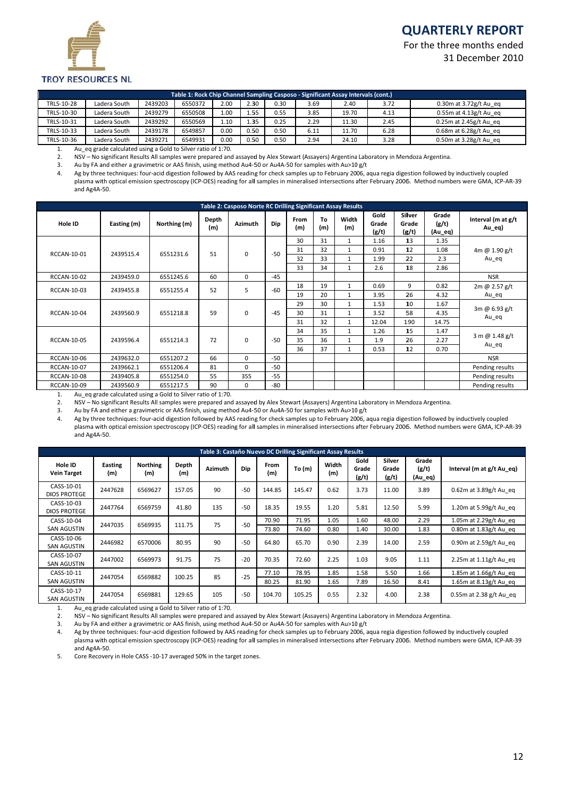# **Q QUARTER RLY REPO RT**

For the three months ended 31 D December 20 010



#### **TROY RESOURCES NL**

|            | Table 1: Rock Chip Channel Sampling Casposo - Significant Assay Intervals (cont.)                                  |         |         |      |      |      |      |       |      |                              |  |  |  |
|------------|--------------------------------------------------------------------------------------------------------------------|---------|---------|------|------|------|------|-------|------|------------------------------|--|--|--|
| TRLS-10-28 | $0.30$ m at $3.72$ g/t Au eq<br>2.30<br>2.00<br>0.30<br>Ladera South<br>2439203<br>6550372<br>3.69<br>2.40<br>3.72 |         |         |      |      |      |      |       |      |                              |  |  |  |
| TRLS-10-30 | Ladera South                                                                                                       | 2439279 | 6550508 | 1.00 | 1.55 | 0.55 | 3.85 | 19.70 | 4.13 | $0.55$ m at $4.13$ g/t Au eg |  |  |  |
| TRLS-10-31 | Ladera South                                                                                                       | 2439292 | 6550569 | 1.10 | 1.35 | 0.25 | 2.29 | 11.30 | 2.45 | $0.25$ m at 2.45g/t Au eq    |  |  |  |
| TRLS-10-33 | Ladera South                                                                                                       | 2439178 | 6549857 | 0.00 | 0.50 | 0.50 | 6.11 | 11.70 | 6.28 | $0.68$ m at $6.28$ g/t Au eg |  |  |  |
| TRLS-10-36 | Ladera South                                                                                                       | 2439271 | 6549931 | 0.00 | 0.50 | 0.50 | 2.94 | 24.10 | 3.28 | 0.50m at 3.28g/t Au eq       |  |  |  |

1. Au\_eq gra de calculated using g a Gold to Silver rat tio of 1:70.

2. NSV - No significant Results All samples were prepared and assayed by Alex Stewart (Assayers) Argentina Laboratory in Mendoza Argentina.

3. Au by FA and either a gravimetric or AAS finish, using method Au4-50 or Au4A-50 for samples with Au>10 g/t

4. Ag by three techniques: four-acid digestion followed by AAS reading for check samples up to February 2006, aqua regia digestion followed by inductively coupled plasma with optical emission spectroscopy (ICP‐OES) reading for all samples in mineralised intersections after February 2006. Method numbers were GMA, ICP‐AR‐39 and Ag4A‐ 50.

|                    | Table 2: Casposo Norte RC Drilling Significant Assay Results |              |              |                |       |             |           |              |                        |                          |                           |                                |  |
|--------------------|--------------------------------------------------------------|--------------|--------------|----------------|-------|-------------|-----------|--------------|------------------------|--------------------------|---------------------------|--------------------------------|--|
| Hole ID            | Easting (m)                                                  | Northing (m) | Depth<br>(m) | <b>Azimuth</b> | Dip   | From<br>(m) | To<br>(m) | Width<br>(m) | Gold<br>Grade<br>(g/t) | Silver<br>Grade<br>(g/t) | Grade<br>(g/t)<br>(Au_eq) | Interval (m at g/t<br>$Au$ eq) |  |
|                    |                                                              |              |              |                |       | 30          | 31        | $\mathbf{1}$ | 1.16                   | 13                       | 1.35                      |                                |  |
| RCCAN-10-01        | 2439515.4                                                    | 6551231.6    | 51           | 0              | $-50$ | 31          | 32        | $\mathbf{1}$ | 0.91                   | 12                       | 1.08                      | 4m @ 1.90 g/t                  |  |
|                    |                                                              |              |              |                |       | 32          | 33        | $\mathbf{1}$ | 1.99                   | 22                       | 2.3                       | Au_eq                          |  |
|                    |                                                              |              |              |                |       | 33          | 34        | 1            | 2.6                    | 18                       | 2.86                      |                                |  |
| <b>RCCAN-10-02</b> | 2439459.0                                                    | 6551245.6    | 60           | 0              | $-45$ |             |           |              |                        |                          |                           | <b>NSR</b>                     |  |
| RCCAN-10-03        | 2439455.8                                                    | 6551255.4    | 52           | 5              | $-60$ | 18          | 19        | $\mathbf{1}$ | 0.69                   | 9                        | 0.82                      | 2m @ 2.57 g/t<br>Au_eq         |  |
|                    |                                                              |              |              |                |       | 19          | 20        | $\mathbf{1}$ | 3.95                   | 26                       | 4.32                      |                                |  |
|                    | 2439560.9                                                    | 6551218.8    |              | 0              | $-45$ | 29          | 30        | $\mathbf{1}$ | 1.53                   | 10                       | 1.67                      | 3m @ 6.93 g/t<br>Au_eq         |  |
| <b>RCCAN-10-04</b> |                                                              |              | 59           |                |       | 30          | 31        | $\mathbf{1}$ | 3.52                   | 58                       | 4.35                      |                                |  |
|                    |                                                              |              |              |                |       | 31          | 32        | $\mathbf{1}$ | 12.04                  | 1.90                     | 14.75                     |                                |  |
|                    |                                                              |              |              |                |       | 34          | 35        | $\mathbf{1}$ | 1.26                   | 15                       | 1.47                      |                                |  |
| <b>RCCAN-10-05</b> | 2439596.4                                                    | 6551214.3    | 72           | 0              | $-50$ | 35          | 36        | 1            | 1.9                    | 26                       | 2.27                      | 3 m @ 1.48 g/t<br>Au_eq        |  |
|                    |                                                              |              |              |                |       | 36          | 37        | $\mathbf{1}$ | 0.53                   | 12                       | 0.70                      |                                |  |
| <b>RCCAN-10-06</b> | 2439632.0                                                    | 6551207.2    | 66           | 0              | $-50$ |             |           |              |                        |                          |                           | <b>NSR</b>                     |  |
| <b>RCCAN-10-07</b> | 2439662.1                                                    | 6551206.4    | 81           | 0              | -50   |             |           |              |                        |                          |                           | Pending results                |  |
| <b>RCCAN-10-08</b> | 2439405.8                                                    | 6551254.0    | 55           | 355            | $-55$ |             |           |              |                        |                          |                           | Pending results                |  |
| RCCAN-10-09        | 2439560.9                                                    | 6551217.5    | 90           | 0              | -80   |             |           |              |                        |                          |                           | Pending results                |  |

1. Au\_eq gra de calculated using g a Gold to Silver rat tio of 1:70.

2. NSV – No significant Results All samples were prepared and assayed by Alex Stewart (Assayers) Argentina Laboratory in Mendoza Argentina.

3. Au by FA and either a gravimetric or AAS finish, using method Au4-50 or Au4A-50 for samples with Au>10 g/t

4. Ag by three techniques: four-acid digestion followed by AAS reading for check samples up to February 2006, aqua regia digestion followed by inductively coupled plasma with optical emission spectroscopy (ICP-OES) reading for all samples in mineralised intersections after February 2006. Method numbers were GMA, ICP-AR-39 and Ag4A‐ 50.

| Table 3: Castaño Nuevo DC Drilling Significant Assay Results |                       |                        |                                |     |       |             |        |              |                        |                          |                           |                             |  |
|--------------------------------------------------------------|-----------------------|------------------------|--------------------------------|-----|-------|-------------|--------|--------------|------------------------|--------------------------|---------------------------|-----------------------------|--|
| Hole ID<br><b>Vein Target</b>                                | <b>Easting</b><br>(m) | <b>Northing</b><br>(m) | Depth<br><b>Azimuth</b><br>(m) |     | Dip   | From<br>(m) | To (m) | Width<br>(m) | Gold<br>Grade<br>(g/t) | Silver<br>Grade<br>(g/t) | Grade<br>(g/t)<br>(Au_eq) | Interval (m at $g/t$ Au eq) |  |
| CASS-10-01<br><b>DIOS PROTEGE</b>                            | 2447628               | 6569627                | 157.05                         | 90  | $-50$ | 144.85      | 145.47 | 0.62         | 3.73                   | 11.00                    | 3.89                      | 0.62m at 3.89g/t Au eq      |  |
| CASS-10-03<br><b>DIOS PROTEGE</b>                            | 2447764               | 6569759                | 41.80                          | 135 | $-50$ | 18.35       | 19.55  | 1.20         | 5.81                   | 12.50                    | 5.99                      | 1.20m at 5.99g/t Au eq      |  |
| CASS-10-04                                                   | 2447035               | 6569935                | 111.75                         | 75  | $-50$ | 70.90       | 71.95  | 1.05         | 1.60                   | 48.00                    | 2.29                      | 1.05 $m$ at 2.29g/t Au eq   |  |
| <b>SAN AGUSTIN</b>                                           |                       |                        |                                |     |       | 73.80       | 74.60  | 0.80         | 1.40                   | 30.00                    | 1.83                      | 0.80m at 1.83g/t Au eq      |  |
| CASS-10-06<br><b>SAN AGUSTIN</b>                             | 2446982               | 6570006                | 80.95                          | 90  | $-50$ | 64.80       | 65.70  | 0.90         | 2.39                   | 14.00                    | 2.59                      | 0.90m at 2.59g/t Au eq      |  |
| CASS-10-07<br><b>SAN AGUSTIN</b>                             | 2447002               | 6569973                | 91.75                          | 75  | $-20$ | 70.35       | 72.60  | 2.25         | 1.03                   | 9.05                     | 1.11                      | 2.25 $m$ at 1.11g/t Au eq   |  |
| CASS-10-11                                                   | 2447054               | 6569882                | 100.25                         | 85  | $-25$ | 77.10       | 78.95  | 1.85         | 1.58                   | 5.50                     | 1.66                      | 1.85m at 1.66g/t Au eq      |  |
| <b>SAN AGUSTIN</b>                                           |                       |                        |                                |     |       | 80.25       | 81.90  | 1.65         | 7.89                   | 16.50                    | 8.41                      | 1.65 $m$ at 8.13g/t Au eq   |  |
| CASS-10-17<br><b>SAN AGUSTIN</b>                             | 2447054               | 6569881                | 129.65                         | 105 | $-50$ | 104.70      | 105.25 | 0.55         | 2.32                   | 4.00                     | 2.38                      | $0.55$ m at 2.38 g/t Au eq  |  |

1. Au\_eq gra de calculated using g a Gold to Silver rat tio of 1:70.

2. NSV – No significant Results All samples were prepared and assayed by Alex Stewart (Assayers) Argentina Laboratory in Mendoza Argentina.

3. Au by FA and either a gravimetric or AAS finish, using method Au4-50 or Au4A-50 for samples with Au>10 g/t

4. Ag by three techniques: four-acid digestion followed by AAS reading for check samples up to February 2006, aqua regia digestion followed by inductively coupled plasma with optical emission spectroscopy (ICP-OES) reading for all samples in mineralised intersections after February 2006. Method numbers were GMA, ICP-AR-39 and Ag4A‐ 50.

5. Core Recovery in Hole CASS -10-17 averaged 50% in the target zones.